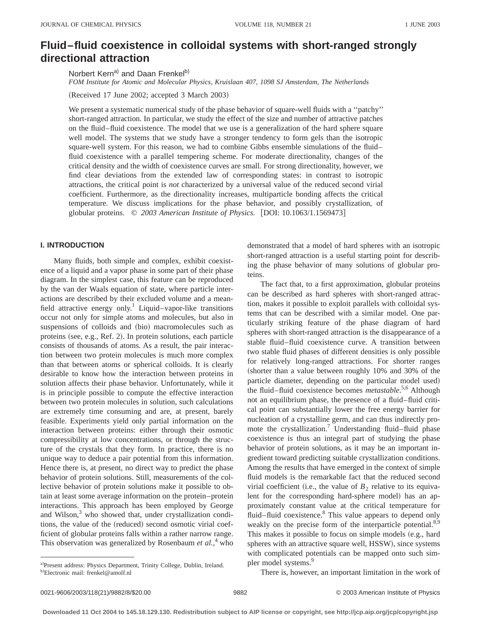# **Fluid–fluid coexistence in colloidal systems with short-ranged strongly directional attraction**

Norbert Kern<sup>a)</sup> and Daan Frenkel<sup>b)</sup>

*FOM Institute for Atomic and Molecular Physics, Kruislaan 407, 1098 SJ Amsterdam, The Netherlands*

(Received 17 June 2002; accepted 3 March 2003)

We present a systematic numerical study of the phase behavior of square-well fluids with a ''patchy'' short-ranged attraction. In particular, we study the effect of the size and number of attractive patches on the fluid–fluid coexistence. The model that we use is a generalization of the hard sphere square well model. The systems that we study have a stronger tendency to form gels than the isotropic square-well system. For this reason, we had to combine Gibbs ensemble simulations of the fluid– fluid coexistence with a parallel tempering scheme. For moderate directionality, changes of the critical density and the width of coexistence curves are small. For strong directionality, however, we find clear deviations from the extended law of corresponding states: in contrast to isotropic attractions, the critical point is *not* characterized by a universal value of the reduced second virial coefficient. Furthermore, as the directionality increases, multiparticle bonding affects the critical temperature. We discuss implications for the phase behavior, and possibly crystallization, of globular proteins. © 2003 American Institute of Physics. [DOI: 10.1063/1.1569473]

# **I. INTRODUCTION**

Many fluids, both simple and complex, exhibit coexistence of a liquid and a vapor phase in some part of their phase diagram. In the simplest case, this feature can be reproduced by the van der Waals equation of state, where particle interactions are described by their excluded volume and a meanfield attractive energy only.<sup>1</sup> Liquid–vapor-like transitions occur not only for simple atoms and molecules, but also in suspensions of colloids and (bio) macromolecules such as proteins (see, e.g., Ref. 2). In protein solutions, each particle consists of thousands of atoms. As a result, the pair interaction between two protein molecules is much more complex than that between atoms or spherical colloids. It is clearly desirable to know how the interaction between proteins in solution affects their phase behavior. Unfortunately, while it is in principle possible to compute the effective interaction between two protein molecules in solution, such calculations are extremely time consuming and are, at present, barely feasible. Experiments yield only partial information on the interaction between proteins: either through their osmotic compressibility at low concentrations, or through the structure of the crystals that they form. In practice, there is no unique way to deduce a pair potential from this information. Hence there is, at present, no direct way to predict the phase behavior of protein solutions. Still, measurements of the collective behavior of protein solutions make it possible to obtain at least some average information on the protein–protein interactions. This approach has been employed by George and Wilson, $3$  who showed that, under crystallization conditions, the value of the (reduced) second osmotic virial coefficient of globular proteins falls within a rather narrow range. This observation was generalized by Rosenbaum *et al.*,<sup>4</sup> who demonstrated that a model of hard spheres with an isotropic short-ranged attraction is a useful starting point for describing the phase behavior of many solutions of globular proteins.

The fact that, to a first approximation, globular proteins can be described as hard spheres with short-ranged attraction, makes it possible to exploit parallels with colloidal systems that can be described with a similar model. One particularly striking feature of the phase diagram of hard spheres with short-ranged attraction is the disappearance of a stable fluid–fluid coexistence curve. A transition between two stable fluid phases of different densities is only possible for relatively long-ranged attractions. For shorter ranges (shorter than a value between roughly 10% and 30% of the particle diameter, depending on the particular model used) the fluid–fluid coexistence becomes *metastable*. 5,6 Although not an equilibrium phase, the presence of a fluid–fluid critical point can substantially lower the free energy barrier for nucleation of a crystalline germ, and can thus indirectly promote the crystallization.<sup>7</sup> Understanding fluid–fluid phase coexistence is thus an integral part of studying the phase behavior of protein solutions, as it may be an important ingredient toward predicting suitable crystallization conditions. Among the results that have emerged in the context of simple fluid models is the remarkable fact that the reduced second virial coefficient (i.e., the value of  $B_2$  relative to its equivalent for the corresponding hard-sphere model) has an approximately constant value at the critical temperature for fluid–fluid coexistence.<sup>8</sup> This value appears to depend only weakly on the precise form of the interparticle potential.<sup>8,9</sup> This makes it possible to focus on simple models (e.g., hard spheres with an attractive square well, HSSW), since systems with complicated potentials can be mapped onto such simpler model systems.<sup>9</sup>

There is, however, an important limitation in the work of

a)Present address: Physics Department, Trinity College, Dublin, Ireland. <sup>b)</sup>Electronic mail: frenkel@amolf.nl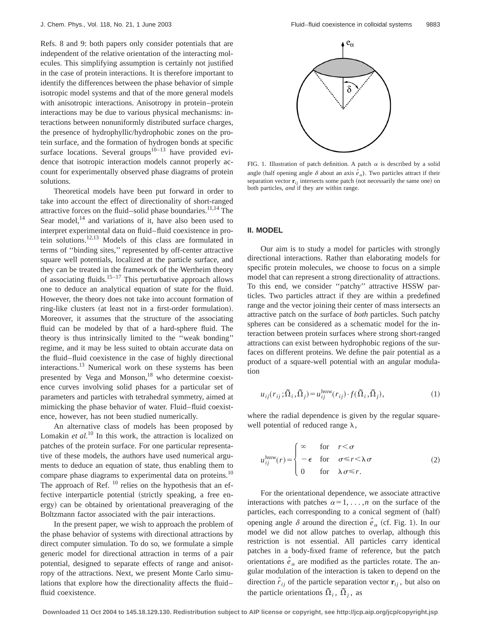Refs. 8 and 9: both papers only consider potentials that are independent of the relative orientation of the interacting molecules. This simplifying assumption is certainly not justified in the case of protein interactions. It is therefore important to identify the differences between the phase behavior of simple isotropic model systems and that of the more general models with anisotropic interactions. Anisotropy in protein–protein interactions may be due to various physical mechanisms: interactions between nonuniformly distributed surface charges, the presence of hydrophyllic/hydrophobic zones on the protein surface, and the formation of hydrogen bonds at specific surface locations. Several groups<sup>10–13</sup> have provided evidence that isotropic interaction models cannot properly account for experimentally observed phase diagrams of protein solutions.

Theoretical models have been put forward in order to take into account the effect of directionality of short-ranged attractive forces on the fluid–solid phase boundaries. $11,14$  The Sear model, $^{14}$  and variations of it, have also been used to interpret experimental data on fluid–fluid coexistence in protein solutions.<sup>12,13</sup> Models of this class are formulated in terms of ''binding sites,'' represented by off-center attractive square well potentials, localized at the particle surface, and they can be treated in the framework of the Wertheim theory of associating fluids.<sup>15–17</sup> This perturbative approach allows one to deduce an analytical equation of state for the fluid. However, the theory does not take into account formation of ring-like clusters (at least not in a first-order formulation). Moreover, it assumes that the structure of the associating fluid can be modeled by that of a hard-sphere fluid. The theory is thus intrinsically limited to the ''weak bonding'' regime, and it may be less suited to obtain accurate data on the fluid–fluid coexistence in the case of highly directional interactions.<sup>13</sup> Numerical work on these systems has been presented by Vega and Monson,<sup>18</sup> who determine coexistence curves involving solid phases for a particular set of parameters and particles with tetrahedral symmetry, aimed at mimicking the phase behavior of water. Fluid–fluid coexistence, however, has not been studied numerically.

An alternative class of models has been proposed by Lomakin *et al.*<sup>10</sup> In this work, the attraction is localized on patches of the protein surface. For one particular representative of these models, the authors have used numerical arguments to deduce an equation of state, thus enabling them to compare phase diagrams to experimental data on proteins.<sup>10</sup> The approach of Ref.  $^{10}$  relies on the hypothesis that an effective interparticle potential (strictly speaking, a free energy) can be obtained by orientational preaveraging of the Boltzmann factor associated with the pair interactions.

In the present paper, we wish to approach the problem of the phase behavior of systems with directional attractions by direct computer simulation. To do so, we formulate a simple generic model for directional attraction in terms of a pair potential, designed to separate effects of range and anisotropy of the attractions. Next, we present Monte Carlo simulations that explore how the directionality affects the fluid– fluid coexistence.



FIG. 1. Illustration of patch definition. A patch  $\alpha$  is described by a solid angle (half opening angle  $\delta$  about an axis  $\hat{e}_{\alpha}$ ). Two particles attract if their separation vector  $\mathbf{r}_{ij}$  intersects some patch (not necessarily the same one) on both particles, *and* if they are within range.

### **II. MODEL**

Our aim is to study a model for particles with strongly directional interactions. Rather than elaborating models for specific protein molecules, we choose to focus on a simple model that can represent a strong directionality of attractions. To this end, we consider ''patchy'' attractive HSSW particles. Two particles attract if they are within a predefined range and the vector joining their center of mass intersects an attractive patch on the surface of *both* particles. Such patchy spheres can be considered as a schematic model for the interaction between protein surfaces where strong short-ranged attractions can exist between hydrophobic regions of the surfaces on different proteins. We define the pair potential as a product of a square-well potential with an angular modulation

$$
u_{ij}(r_{ij}; \tilde{\Omega}_i, \tilde{\Omega}_j) = u_{ij}^{\text{hssw}}(r_{ij}) \cdot f(\tilde{\Omega}_i, \tilde{\Omega}_j),
$$
\n(1)

where the radial dependence is given by the regular squarewell potential of reduced range  $\lambda$ ,

$$
u_{ij}^{\text{hssw}}(r) = \begin{cases} \infty & \text{for } r < \sigma \\ -\epsilon & \text{for } \sigma \le r < \lambda \sigma \\ 0 & \text{for } \lambda \sigma \le r. \end{cases} \tag{2}
$$

For the orientational dependence, we associate attractive interactions with patches  $\alpha=1, \ldots, n$  on the surface of the particles, each corresponding to a conical segment of (half) opening angle  $\delta$  around the direction  $\hat{e}_{\alpha}$  (cf. Fig. 1). In our model we did not allow patches to overlap, although this restriction is not essential. All particles carry identical patches in a body-fixed frame of reference, but the patch orientations  $\hat{e}_{\alpha}$  are modified as the particles rotate. The angular modulation of the interaction is taken to depend on the direction  $\hat{r}_{ij}$  of the particle separation vector  $\mathbf{r}_{ij}$ , but also on the particle orientations  $\overline{\Omega}_i$ ,  $\overline{\Omega}_j$ , as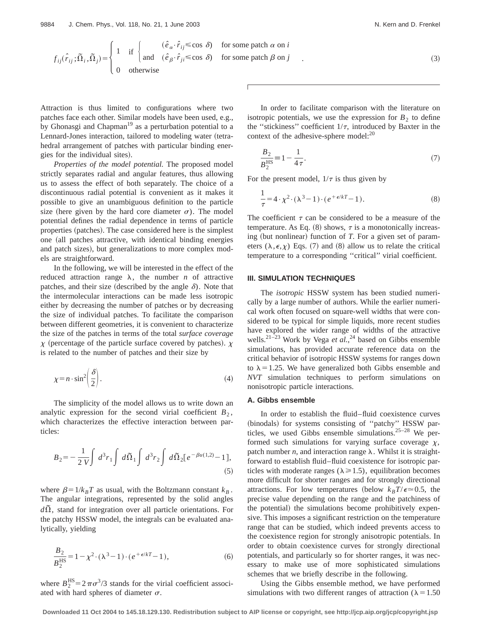$$
f_{ij}(\hat{r}_{ij}; \tilde{\Omega}_i, \tilde{\Omega}_j) = \begin{cases} 1 & \text{if } \begin{cases} (\hat{e}_{\alpha} \cdot \hat{r}_{ij} \le \cos \delta) & \text{for some patch } \alpha \text{ on } i \\ \text{and } (\hat{e}_{\beta} \cdot \hat{r}_{ji} \le \cos \delta) & \text{for some patch } \beta \text{ on } j \\ 0 & \text{otherwise} \end{cases} \end{cases}
$$
(3)

Attraction is thus limited to configurations where two patches face each other. Similar models have been used, e.g., by Ghonasgi and Chapman<sup>19</sup> as a perturbation potential to a Lennard-Jones interaction, tailored to modeling water (tetrahedral arrangement of patches with particular binding energies for the individual sites).

*Properties of the model potential.* The proposed model strictly separates radial and angular features, thus allowing us to assess the effect of both separately. The choice of a discontinuous radial potential is convenient as it makes it possible to give an unambiguous definition to the particle size (here given by the hard core diameter  $\sigma$ ). The model potential defines the radial dependence in terms of particle properties (patches). The case considered here is the simplest one (all patches attractive, with identical binding energies and patch sizes), but generalizations to more complex models are straightforward.

In the following, we will be interested in the effect of the reduced attraction range  $\lambda$ , the number *n* of attractive patches, and their size (described by the angle  $\delta$ ). Note that the intermolecular interactions can be made less isotropic either by decreasing the number of patches or by decreasing the size of individual patches. To facilitate the comparison between different geometries, it is convenient to characterize the size of the patches in terms of the total *surface coverage*  $\chi$  (percentage of the particle surface covered by patches).  $\chi$ is related to the number of patches and their size by

$$
\chi = n \cdot \sin^2 \left( \frac{\delta}{2} \right). \tag{4}
$$

The simplicity of the model allows us to write down an analytic expression for the second virial coefficient  $B_2$ , which characterizes the effective interaction between particles:

$$
B_2 = -\frac{1}{2 V} \int d^3 r_1 \int d\tilde{\Omega}_1 \int d^3 r_2 \int d\tilde{\Omega}_2 [e^{-\beta u(1,2)} - 1],
$$
\n(5)

where  $\beta = 1/k_B T$  as usual, with the Boltzmann constant  $k_B$ . The angular integrations, represented by the solid angles  $d\tilde{\Omega}$ , stand for integration over all particle orientations. For the patchy HSSW model, the integrals can be evaluated analytically, yielding

$$
\frac{B_2}{B_2^{HS}} = 1 - \chi^2 \cdot (\lambda^3 - 1) \cdot (e^{+\epsilon/k} - 1),
$$
 (6)

where  $B_2^{\text{HS}} = 2\pi\sigma^3/3$  stands for the virial coefficient associated with hard spheres of diameter  $\sigma$ .

In order to facilitate comparison with the literature on isotropic potentials, we use the expression for  $B_2$  to define the "stickiness" coefficient  $1/\tau$ , introduced by Baxter in the context of the adhesive-sphere model:<sup>20</sup>

$$
\frac{B_2}{B_2^{\text{HS}}} = 1 - \frac{1}{4\tau}.\tag{7}
$$

For the present model,  $1/\tau$  is thus given by

$$
\frac{1}{\tau} = 4 \cdot \chi^2 \cdot (\lambda^3 - 1) \cdot (e^{+\epsilon/k} - 1).
$$
 (8)

The coefficient  $\tau$  can be considered to be a measure of the temperature. As Eq.  $(8)$  shows,  $\tau$  is a monotonically increasing (but nonlinear) function of *T*. For a given set of parameters  $(\lambda, \epsilon, \chi)$  Eqs. (7) and (8) allow us to relate the critical temperature to a corresponding ''critical'' virial coefficient.

### **III. SIMULATION TECHNIQUES**

The *isotropic* HSSW system has been studied numerically by a large number of authors. While the earlier numerical work often focused on square-well widths that were considered to be typical for simple liquids, more recent studies have explored the wider range of widths of the attractive wells.<sup>21-23</sup> Work by Vega et al.,<sup>24</sup> based on Gibbs ensemble simulations, has provided accurate reference data on the critical behavior of isotropic HSSW systems for ranges down to  $\lambda = 1.25$ . We have generalized both Gibbs ensemble and *NVT* simulation techniques to perform simulations on nonisotropic particle interactions.

## **A. Gibbs ensemble**

In order to establish the fluid–fluid coexistence curves (binodals) for systems consisting of "patchy" HSSW particles, we used Gibbs ensemble simulations.<sup>25–28</sup> We performed such simulations for varying surface coverage  $\chi$ , patch number *n*, and interaction range  $\lambda$ . Whilst it is straightforward to establish fluid–fluid coexistence for isotropic particles with moderate ranges ( $\lambda \ge 1.5$ ), equilibration becomes more difficult for shorter ranges and for strongly directional attractions. For low temperatures (below  $k_B T/\epsilon \approx 0.5$ , the precise value depending on the range and the patchiness of the potential) the simulations become prohibitively expensive. This imposes a significant restriction on the temperature range that can be studied, which indeed prevents access to the coexistence region for strongly anisotropic potentials. In order to obtain coexistence curves for strongly directional potentials, and particularly so for shorter ranges, it was necessary to make use of more sophisticated simulations schemes that we briefly describe in the following.

Using the Gibbs ensemble method, we have performed simulations with two different ranges of attraction ( $\lambda = 1.50$ 

**Downloaded 11 Oct 2004 to 145.18.129.130. Redistribution subject to AIP license or copyright, see http://jcp.aip.org/jcp/copyright.jsp**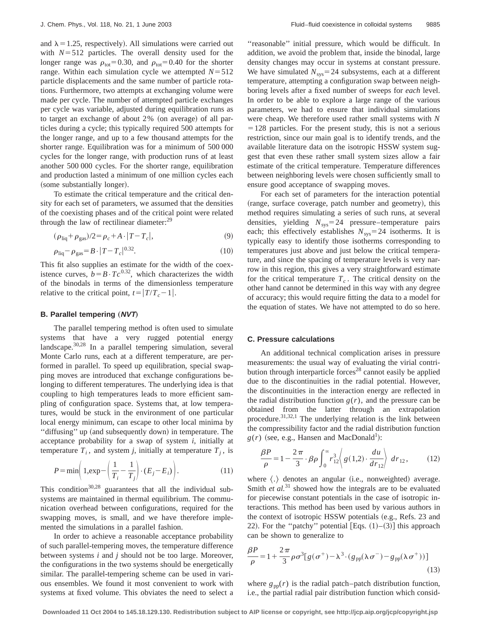and  $\lambda = 1.25$ , respectively). All simulations were carried out with  $N=512$  particles. The overall density used for the longer range was  $\rho_{\text{tot}}$ =0.30, and  $\rho_{\text{tot}}$ =0.40 for the shorter range. Within each simulation cycle we attempted  $N=512$ particle displacements and the same number of particle rotations. Furthermore, two attempts at exchanging volume were made per cycle. The number of attempted particle exchanges per cycle was variable, adjusted during equilibration runs as to target an exchange of about 2% (on average) of all particles during a cycle; this typically required 500 attempts for the longer range, and up to a few thousand attempts for the shorter range. Equilibration was for a minimum of 500 000 cycles for the longer range, with production runs of at least another 500 000 cycles. For the shorter range, equilibration and production lasted a minimum of one million cycles each (some substantially longer).

To estimate the critical temperature and the critical density for each set of parameters, we assumed that the densities of the coexisting phases and of the critical point were related through the law of rectilinear diameter: $29$ 

$$
(\rho_{\text{liq}} + \rho_{\text{gas}})/2 = \rho_c + A \cdot |T - T_c|,\tag{9}
$$

$$
\rho_{\rm liq} - \rho_{\rm gas} = B \cdot |T - T_c|^{0.32}.
$$
\n(10)

This fit also supplies an estimate for the width of the coexistence curves,  $b = B \cdot Tc^{0.32}$ , which characterizes the width of the binodals in terms of the dimensionless temperature relative to the critical point,  $t=|T/T_c-1|$ .

## **B. Parallel tempering (NVT)**

The parallel tempering method is often used to simulate systems that have a very rugged potential energy landscape. $30,28$  In a parallel tempering simulation, several Monte Carlo runs, each at a different temperature, are performed in parallel. To speed up equilibration, special swapping moves are introduced that exchange configurations belonging to different temperatures. The underlying idea is that coupling to high temperatures leads to more efficient sampling of configuration space. Systems that, at low temperatures, would be stuck in the environment of one particular local energy minimum, can escape to other local minima by "diffusing" up (and subsequently down) in temperature. The acceptance probability for a swap of system *i*, initially at temperature  $T_i$ , and system *j*, initially at temperature  $T_i$ , is

$$
P = \min\left(1, \exp\left(-\frac{1}{T_i} - \frac{1}{T_j}\right) \cdot (E_j - E_i)\right). \tag{11}
$$

This condition<sup>30,28</sup> guarantees that all the individual subsystems are maintained in thermal equilibrium. The communication overhead between configurations, required for the swapping moves, is small, and we have therefore implemented the simulations in a parallel fashion.

In order to achieve a reasonable acceptance probability of such parallel-tempering moves, the temperature difference between systems *i* and *j* should not be too large. Moreover, the configurations in the two systems should be energetically similar. The parallel-tempering scheme can be used in various ensembles. We found it most convenient to work with systems at fixed volume. This obviates the need to select a

''reasonable'' initial pressure, which would be difficult. In addition, we avoid the problem that, inside the binodal, large density changes may occur in systems at constant pressure. We have simulated  $N_{\rm sys}$ =24 subsystems, each at a different temperature, attempting a configuration swap between neighboring levels after a fixed number of sweeps for *each* level. In order to be able to explore a large range of the various parameters, we had to ensure that individual simulations were cheap. We therefore used rather small systems with *N*  $=128$  particles. For the present study, this is not a serious restriction, since our main goal is to identify trends, and the available literature data on the isotropic HSSW system suggest that even these rather small system sizes allow a fair estimate of the critical temperature. Temperature differences between neighboring levels were chosen sufficiently small to ensure good acceptance of swapping moves.

For each set of parameters for the interaction potential (range, surface coverage, patch number and geometry), this method requires simulating a series of such runs, at several densities, yielding  $N_{sys} = 24$  pressure–temperature pairs each; this effectively establishes  $N_{sys}$ =24 isotherms. It is typically easy to identify those isotherms corresponding to temperatures just above and just below the critical temperature, and since the spacing of temperature levels is very narrow in this region, this gives a very straightforward estimate for the critical temperature  $T_c$ . The critical density on the other hand cannot be determined in this way with any degree of accuracy; this would require fitting the data to a model for the equation of states. We have not attempted to do so here.

#### **C. Pressure calculations**

An additional technical complication arises in pressure measurements: the usual way of evaluating the virial contribution through interparticle forces<sup>28</sup> cannot easily be applied due to the discontinuities in the radial potential. However, the discontinuities in the interaction energy are reflected in the radial distribution function  $g(r)$ , and the pressure can be obtained from the latter through an extrapolation procedure.<sup>31,32,1</sup> The underlying relation is the link between the compressibility factor and the radial distribution function  $g(r)$  (see, e.g., Hansen and MacDonald<sup>1</sup>):

$$
\frac{\beta P}{\rho} = 1 - \frac{2\pi}{3} \cdot \beta \rho \int_0^\infty r_{12}^3 \left\langle g(1,2) \cdot \frac{du}{dr_{12}} \right\rangle dr_{12}, \quad (12)
$$

where  $\langle . \rangle$  denotes an angular (i.e., nonweighted) average. Smith *et al.*<sup>31</sup> showed how the integrals are to be evaluated for piecewise constant potentials in the case of isotropic interactions. This method has been used by various authors in the context of isotropic HSSW potentials (e.g., Refs. 23 and 22). For the "patchy" potential [Eqs.  $(1)$ – $(3)$ ] this approach can be shown to generalize to

$$
\frac{\beta P}{\rho} = 1 + \frac{2\pi}{3} \rho \sigma^3 [g(\sigma^+) - \lambda^3 \cdot (g_{\rm pp}(\lambda \sigma^-) - g_{\rm pp}(\lambda \sigma^+))]
$$
\n(13)

where  $g_{\text{pp}}(r)$  is the radial patch–patch distribution function, i.e., the partial radial pair distribution function which consid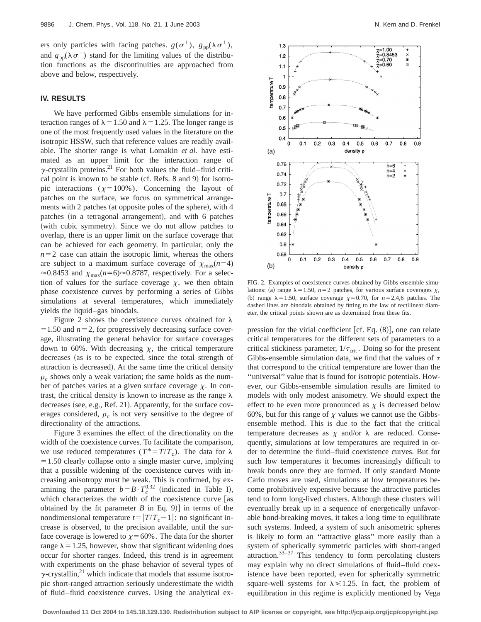ers only particles with facing patches.  $g(\sigma^+)$ ,  $g_{\text{pp}}(\lambda \sigma^+)$ , and  $g_{\text{pp}}(\lambda \sigma^{-})$  stand for the limiting values of the distribution functions as the discontinuities are approached from above and below, respectively.

## **IV. RESULTS**

We have performed Gibbs ensemble simulations for interaction ranges of  $\lambda = 1.50$  and  $\lambda = 1.25$ . The longer range is one of the most frequently used values in the literature on the isotropic HSSW, such that reference values are readily available. The shorter range is what Lomakin *et al.* have estimated as an upper limit for the interaction range of  $\gamma$ -crystallin proteins.<sup>21</sup> For both values the fluid–fluid critical point is known to be stable (cf. Refs. 8 and 9) for isotropic interactions ( $\chi=100\%$ ). Concerning the layout of patches on the surface, we focus on symmetrical arrangements with 2 patches (at opposite poles of the sphere), with 4 patches (in a tetragonal arrangement), and with 6 patches (with cubic symmetry). Since we do not allow patches to overlap, there is an upper limit on the surface coverage that can be achieved for each geometry. In particular, only the  $n=2$  case can attain the isotropic limit, whereas the others are subject to a maximum surface coverage of  $\chi_{\text{max}}(n=4)$  $\approx$ 0.8453 and  $\chi$ <sub>max</sub> $(n=6) \approx$ 0.8787, respectively. For a selection of values for the surface coverage  $\chi$ , we then obtain phase coexistence curves by performing a series of Gibbs simulations at several temperatures, which immediately yields the liquid–gas binodals.

Figure 2 shows the coexistence curves obtained for  $\lambda$  $=1.50$  and  $n=2$ , for progressively decreasing surface coverage, illustrating the general behavior for surface coverages down to 60%. With decreasing  $\chi$ , the critical temperature decreases (as is to be expected, since the total strength of attraction is decreased). At the same time the critical density  $\rho_c$  shows only a weak variation; the same holds as the number of patches varies at a given surface coverage  $\chi$ . In contrast, the critical density is known to increase as the range  $\lambda$ decreases (see, e.g., Ref. 21). Apparently, for the surface coverages considered,  $\rho_c$  is not very sensitive to the degree of directionality of the attractions.

Figure 3 examines the effect of the directionality on the width of the coexistence curves. To facilitate the comparison, we use reduced temperatures ( $T^* = T/T_c$ ). The data for  $\lambda$  $=1.50$  clearly collapse onto a single master curve, implying that a possible widening of the coexistence curves with increasing anisotropy must be weak. This is confirmed, by examining the parameter  $b = B \cdot T_c^{0.32}$  (indicated in Table I), which characterizes the width of the coexistence curve  $\lceil$ as obtained by the fit parameter  $B$  in Eq. 9) in terms of the nondimensional temperature  $t = |T/T_c - 1|$ : no significant increase is observed, to the precision available, until the surface coverage is lowered to  $\chi=60\%$ . The data for the shorter range  $\lambda = 1.25$ , however, show that significant widening does occur for shorter ranges. Indeed, this trend is in agreement with experiments on the phase behavior of several types of  $\gamma$ -crystallin,<sup>21</sup> which indicate that models that assume isotropic short-ranged attraction seriously underestimate the width of fluid–fluid coexistence curves. Using the analytical ex-



FIG. 2. Examples of coexistence curves obtained by Gibbs ensemble simulations: (a) range  $\lambda = 1.50$ ,  $n=2$  patches, for various surface coverages  $\chi$ , (b) range  $\lambda = 1.50$ , surface coverage  $\chi = 0.70$ , for  $n = 2,4,6$  patches. The dashed lines are binodals obtained by fitting to the law of rectilinear diameter, the critical points shown are as determined from these fits.

pression for the virial coefficient  $[cf. Eq. (8)]$ , one can relate critical temperatures for the different sets of parameters to a critical stickiness parameter,  $1/\tau_{\text{crit}}$ . Doing so for the present Gibbs-ensemble simulation data, we find that the values of  $\tau$ that correspond to the critical temperature are lower than the ''universal'' value that is found for isotropic potentials. However, our Gibbs-ensemble simulation results are limited to models with only modest anisometry. We should expect the effect to be even more pronounced as  $\chi$  is decreased below 60%, but for this range of  $\chi$  values we cannot use the Gibbsensemble method. This is due to the fact that the critical temperature decreases as  $\chi$  and/or  $\lambda$  are reduced. Consequently, simulations at low temperatures are required in order to determine the fluid–fluid coexistence curves. But for such low temperatures it becomes increasingly difficult to break bonds once they are formed. If only standard Monte Carlo moves are used, simulations at low temperatures become prohibitively expensive because the attractive particles tend to form long-lived clusters. Although these clusters will eventually break up in a sequence of energetically unfavorable bond-breaking moves, it takes a long time to equilibrate such systems. Indeed, a system of such anisometric spheres is likely to form an ''attractive glass'' more easily than a system of spherically symmetric particles with short-ranged attraction.<sup>33–37</sup> This tendency to form percolating clusters may explain why no direct simulations of fluid–fluid coexistence have been reported, even for spherically symmetric square-well systems for  $\lambda \le 1.25$ . In fact, the problem of equilibration in this regime is explicitly mentioned by Vega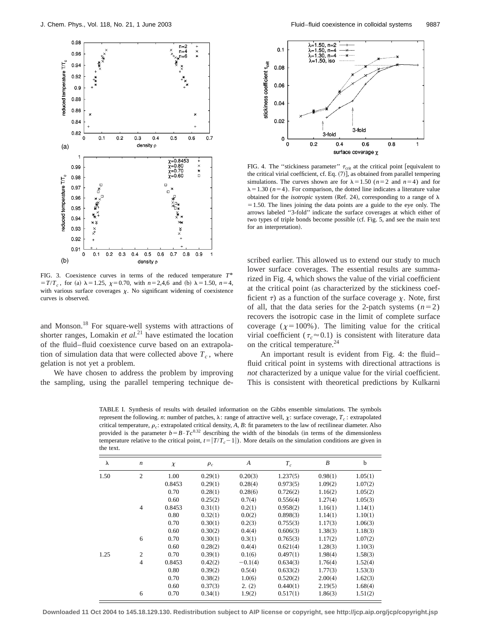

FIG. 3. Coexistence curves in terms of the reduced temperature *T*\*  $T/T_c$ , for (a)  $\lambda = 1.25$ ,  $\chi = 0.70$ , with  $n = 2,4,6$  and (b)  $\lambda = 1.50$ ,  $n = 4$ , with various surface coverages  $\chi$ . No significant widening of coexistence curves is observed.

and Monson.18 For square-well systems with attractions of shorter ranges, Lomakin *et al.*<sup>21</sup> have estimated the location of the fluid–fluid coexistence curve based on an extrapolation of simulation data that were collected above  $T_c$ , where gelation is not yet a problem.

We have chosen to address the problem by improving the sampling, using the parallel tempering technique de-



FIG. 4. The "stickiness parameter"  $\tau_{\text{crit}}$  at the critical point [equivalent to the critical virial coefficient, cf. Eq.  $(7)$ ], as obtained from parallel tempering simulations. The curves shown are for  $\lambda = 1.50$  (*n*=2 and *n*=4) and for  $\lambda = 1.30$  ( $n=4$ ). For comparison, the dotted line indicates a literature value obtained for the *isotropic* system (Ref. 24), corresponding to a range of  $\lambda$  $=1.50$ . The lines joining the data points are a guide to the eye only. The arrows labeled ''3-fold'' indicate the surface coverages at which either of two types of triple bonds become possible (cf. Fig. 5, and see the main text for an interpretation).

scribed earlier. This allowed us to extend our study to much lower surface coverages. The essential results are summarized in Fig. 4, which shows the value of the virial coefficient at the critical point (as characterized by the stickiness coefficient  $\tau$ ) as a function of the surface coverage  $\chi$ . Note, first of all, that the data series for the 2-patch systems  $(n=2)$ recovers the isotropic case in the limit of complete surface coverage ( $\chi=100\%$ ). The limiting value for the critical virial coefficient ( $\tau_c \approx 0.1$ ) is consistent with literature data on the critical temperature.<sup>24</sup>

An important result is evident from Fig. 4: the fluid– fluid critical point in systems with directional attractions is *not* characterized by a unique value for the virial coefficient. This is consistent with theoretical predictions by Kulkarni

TABLE I. Synthesis of results with detailed information on the Gibbs ensemble simulations. The symbols represent the following. *n*: number of patches,  $\lambda$ : range of attractive well,  $\chi$ : surface coverage,  $T_c$ : extrapolated critical temperature,  $\rho_c$ : extrapolated critical density, A, B: fit parameters to the law of rectilinear diameter. Also provided is the parameter  $b = B \cdot Tc^{0.32}$  describing the width of the binodals (in terms of the dimensionless temperature relative to the critical point,  $t = |T/T_c - 1|$ ). More details on the simulation conditions are given in the text.

| λ    | $\boldsymbol{n}$ | $\chi$ | $\rho_c$ | $\boldsymbol{A}$ | $T_c$    | B       | b       |
|------|------------------|--------|----------|------------------|----------|---------|---------|
| 1.50 | $\overline{2}$   | 1.00   | 0.29(1)  | 0.20(3)          | 1.237(5) | 0.98(1) | 1.05(1) |
|      |                  | 0.8453 | 0.29(1)  | 0.28(4)          | 0.973(5) | 1.09(2) | 1.07(2) |
|      |                  | 0.70   | 0.28(1)  | 0.28(6)          | 0.726(2) | 1.16(2) | 1.05(2) |
|      |                  | 0.60   | 0.25(2)  | 0.7(4)           | 0.556(4) | 1.27(4) | 1.05(3) |
|      | $\overline{4}$   | 0.8453 | 0.31(1)  | 0.2(1)           | 0.958(2) | 1.16(1) | 1.14(1) |
|      |                  | 0.80   | 0.32(1)  | 0.0(2)           | 0.898(3) | 1.14(1) | 1.10(1) |
|      |                  | 0.70   | 0.30(1)  | 0.2(3)           | 0.755(3) | 1.17(3) | 1.06(3) |
|      |                  | 0.60   | 0.30(2)  | 0.4(4)           | 0.606(3) | 1.38(3) | 1.18(3) |
|      | 6                | 0.70   | 0.30(1)  | 0.3(1)           | 0.765(3) | 1.17(2) | 1.07(2) |
|      |                  | 0.60   | 0.28(2)  | 0.4(4)           | 0.621(4) | 1.28(3) | 1.10(3) |
| 1.25 | $\overline{c}$   | 0.70   | 0.39(1)  | 0.1(6)           | 0.497(1) | 1.98(4) | 1.58(3) |
|      | $\overline{4}$   | 0.8453 | 0.42(2)  | $-0.1(4)$        | 0.634(3) | 1.76(4) | 1.52(4) |
|      |                  | 0.80   | 0.39(2)  | 0.5(4)           | 0.633(2) | 1.77(3) | 1.53(3) |
|      |                  | 0.70   | 0.38(2)  | 1.0(6)           | 0.520(2) | 2.00(4) | 1.62(3) |
|      |                  | 0.60   | 0.37(3)  | 2. (2)           | 0.440(1) | 2.19(5) | 1.68(4) |
|      | 6                | 0.70   | 0.34(1)  | 1.9(2)           | 0.517(1) | 1.86(3) | 1.51(2) |

**Downloaded 11 Oct 2004 to 145.18.129.130. Redistribution subject to AIP license or copyright, see http://jcp.aip.org/jcp/copyright.jsp**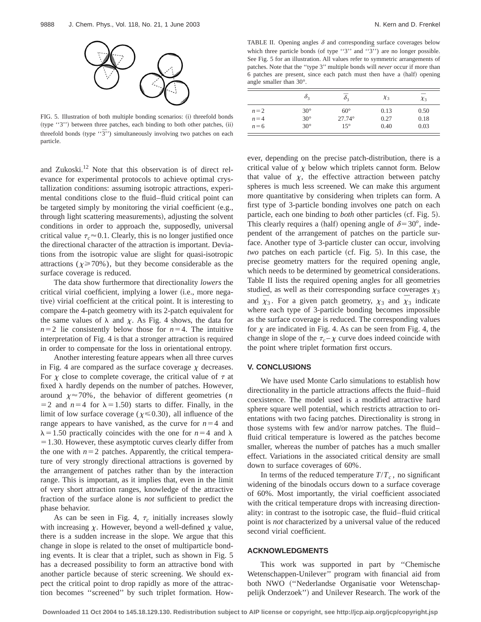

FIG. 5. Illustration of both multiple bonding scenarios: (i) threefold bonds (type ''3'') between three patches, each binding to both other patches, (ii) threefold bonds (type " $\overline{3}$ ") simultaneously involving two patches on each particle.

and Zukoski.<sup>12</sup> Note that this observation is of direct relevance for experimental protocols to achieve optimal crystallization conditions: assuming isotropic attractions, experimental conditions close to the fluid–fluid critical point can be targeted simply by monitoring the virial coefficient  $(e.g.,)$ through light scattering measurements), adjusting the solvent conditions in order to approach the, supposedly, universal critical value  $\tau_c \approx 0.1$ . Clearly, this is no longer justified once the directional character of the attraction is important. Deviations from the isotropic value are slight for quasi-isotropic attractions ( $\chi \ge 70\%$ ), but they become considerable as the surface coverage is reduced.

The data show furthermore that directionality *lowers* the critical virial coefficient, implying a lower (i.e., more negative) virial coefficient at the critical point. It is interesting to compare the 4-patch geometry with its 2-patch equivalent for the same values of  $\lambda$  and  $\chi$ . As Fig. 4 shows, the data for  $n=2$  lie consistently below those for  $n=4$ . The intuitive interpretation of Fig. 4 is that a stronger attraction is required in order to compensate for the loss in orientational entropy.

Another interesting feature appears when all three curves in Fig. 4 are compared as the surface coverage  $\chi$  decreases. For  $\chi$  close to complete coverage, the critical value of  $\tau$  at fixed  $\lambda$  hardly depends on the number of patches. However, around  $\chi \approx 70\%$ , the behavior of different geometries (*n*  $=$  2 and  $n=4$  for  $\lambda=1.50$ ) starts to differ. Finally, in the limit of low surface coverage ( $\chi \leq 0.30$ ), all influence of the range appears to have vanished, as the curve for  $n=4$  and  $\lambda$ =1.50 practically coincides with the one for *n*=4 and  $\lambda$  $=1.30$ . However, these asymptotic curves clearly differ from the one with  $n=2$  patches. Apparently, the critical temperature of very strongly directional attractions is governed by the arrangement of patches rather than by the interaction range. This is important, as it implies that, even in the limit of very short attraction ranges, knowledge of the attractive fraction of the surface alone is *not* sufficient to predict the phase behavior.

As can be seen in Fig. 4,  $\tau_c$  initially increases slowly with increasing  $\chi$ . However, beyond a well-defined  $\chi$  value, there is a sudden increase in the slope. We argue that this change in slope is related to the onset of multiparticle bonding events. It is clear that a triplet, such as shown in Fig. 5 has a decreased possibility to form an attractive bond with another particle because of steric screening. We should expect the critical point to drop rapidly as more of the attraction becomes ''screened'' by such triplet formation. How-

TABLE II. Opening angles  $\delta$  and corresponding surface coverages below which three particle bonds (of type ''3'' and  $\langle \cdot \cdot \cdot \cdot \cdot \rangle$  are no longer possible. See Fig. 5 for an illustration. All values refer to symmetric arrangements of patches. Note that the ''type 3'' multiple bonds will *never* occur if more than 6 patches are present, since each patch must then have a (half) opening angle smaller than 30°.

|                  | $\delta_3$               | $O_3$                         | $\chi_3$     | $\chi_3$     |
|------------------|--------------------------|-------------------------------|--------------|--------------|
| $n=2$<br>$n = 4$ | $30^\circ$<br>$30^\circ$ | $60^\circ$<br>$27.74^{\circ}$ | 0.13<br>0.27 | 0.50<br>0.18 |
| $n = 6$          | $30^\circ$               | $15^{\circ}$                  | 0.40         | 0.03         |

ever, depending on the precise patch-distribution, there is a critical value of  $\chi$  below which triplets cannot form. Below that value of  $\chi$ , the effective attraction between patchy spheres is much less screened. We can make this argument more quantitative by considering when triplets can form. A first type of 3-particle bonding involves one patch on each particle, each one binding to *both* other particles (cf. Fig. 5). This clearly requires a (half) opening angle of  $\delta = 30^\circ$ , independent of the arrangement of patches on the particle surface. Another type of 3-particle cluster can occur, involving *two* patches on each particle (cf. Fig. 5). In this case, the precise geometry matters for the required opening angle, which needs to be determined by geometrical considerations. Table II lists the required opening angles for all geometries studied, as well as their corresponding surface coverages  $\chi_3$ and  $\bar{\chi}_3$ . For a given patch geometry,  $\chi_3$  and  $\bar{\chi}_3$  indicate where each type of 3-particle bonding becomes impossible as the surface coverage is reduced. The corresponding values for  $\chi$  are indicated in Fig. 4. As can be seen from Fig. 4, the change in slope of the  $\tau_c - \chi$  curve does indeed coincide with the point where triplet formation first occurs.

#### **V. CONCLUSIONS**

We have used Monte Carlo simulations to establish how directionality in the particle attractions affects the fluid–fluid coexistence. The model used is a modified attractive hard sphere square well potential, which restricts attraction to orientations with two facing patches. Directionality is strong in those systems with few and/or narrow patches. The fluid– fluid critical temperature is lowered as the patches become smaller, whereas the number of patches has a much smaller effect. Variations in the associated critical density are small down to surface coverages of 60%.

In terms of the reduced temperature  $T/T_c$ , no significant widening of the binodals occurs down to a surface coverage of 60%. Most importantly, the virial coefficient associated with the critical temperature drops with increasing directionality: in contrast to the isotropic case, the fluid–fluid critical point is *not* characterized by a universal value of the reduced second virial coefficient.

#### **ACKNOWLEDGMENTS**

This work was supported in part by ''Chemische Wetenschappen-Unilever'' program with financial aid from both NWO ("Nederlandse Organisatie voor Wetenschappelijk Onderzoek") and Unilever Research. The work of the